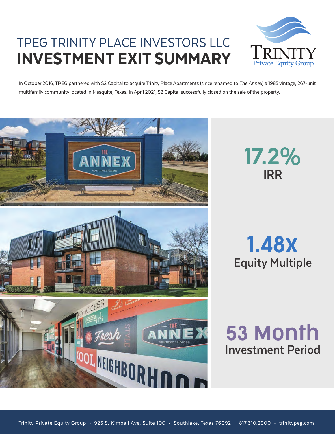## TPEG TRINITY PLACE INVESTORS LLC INVESTMENT EXIT SUMMARY



In October 2016, TPEG partnered with S2 Capital to acquire Trinity Place Apartments (since renamed to The Annex) a 1985 vintage, 267-unit multifamily community located in Mesquite, Texas. In April 2021, S2 Capital successfully closed on the sale of the property.



**IRR** 17.2%

**Equity Multiple** 1.48x

**Investment Period** 53 Month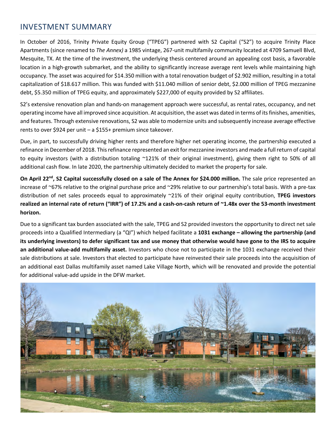## INVESTMENT SUMMARY

In October of 2016, Trinity Private Equity Group ("TPEG") partnered with S2 Capital ("S2") to acquire Trinity Place Apartments (since renamed to *The Annex)* a 1985 vintage, 267-unit multifamily community located at 4709 Samuell Blvd, Mesquite, TX. At the time of the investment, the underlying thesis centered around an appealing cost basis, a favorable location in a high-growth submarket, and the ability to significantly increase average rent levels while maintaining high occupancy. The asset was acquired for \$14.350 million with a total renovation budget of \$2.902 million, resulting in a total capitalization of \$18.617 million. This was funded with \$11.040 million of senior debt, \$2.000 million of TPEG mezzanine debt, \$5.350 million of TPEG equity, and approximately \$227,000 of equity provided by S2 affiliates.

S2's extensive renovation plan and hands-on management approach were successful, as rental rates, occupancy, and net operating income have all improved since acquisition. At acquisition, the asset was dated in terms of its finishes, amenities, and features. Through extensive renovations, S2 was able to modernize units and subsequently increase average effective rents to over \$924 per unit – a \$155+ premium since takeover.

Due, in part, to successfully driving higher rents and therefore higher net operating income, the partnership executed a refinance in December of 2018. This refinance represented an exit for mezzanine investors and made a full return of capital to equity investors (with a distribution totaling ~121% of their original investment), giving them right to 50% of all additional cash flow. In late 2020, the partnership ultimately decided to market the property for sale.

**On April 22nd, S2 Capital successfully closed on a sale of The Annex for \$24.000 million.** The sale price represented an increase of ~67% relative to the original purchase price and ~29% relative to our partnership's total basis. With a pre-tax distribution of net sales proceeds equal to approximately ~21% of their original equity contribution, **TPEG investors realized an internal rate of return ("IRR") of 17.2% and a cash-on-cash return of ~1.48x over the 53-month investment horizon.** 

Due to a significant tax burden associated with the sale, TPEG and S2 provided investors the opportunity to direct net sale proceeds into a Qualified Intermediary (a "QI") which helped facilitate a **1031 exchange – allowing the partnership (and its underlying investors) to defer significant tax and use money that otherwise would have gone to the IRS to acquire an additional value-add multifamily asset.** Investors who chose not to participate in the 1031 exchange received their sale distributions at sale. Investors that elected to participate have reinvested their sale proceeds into the acquisition of an additional east Dallas multifamily asset named Lake Village North, which will be renovated and provide the potential for additional value-add upside in the DFW market.